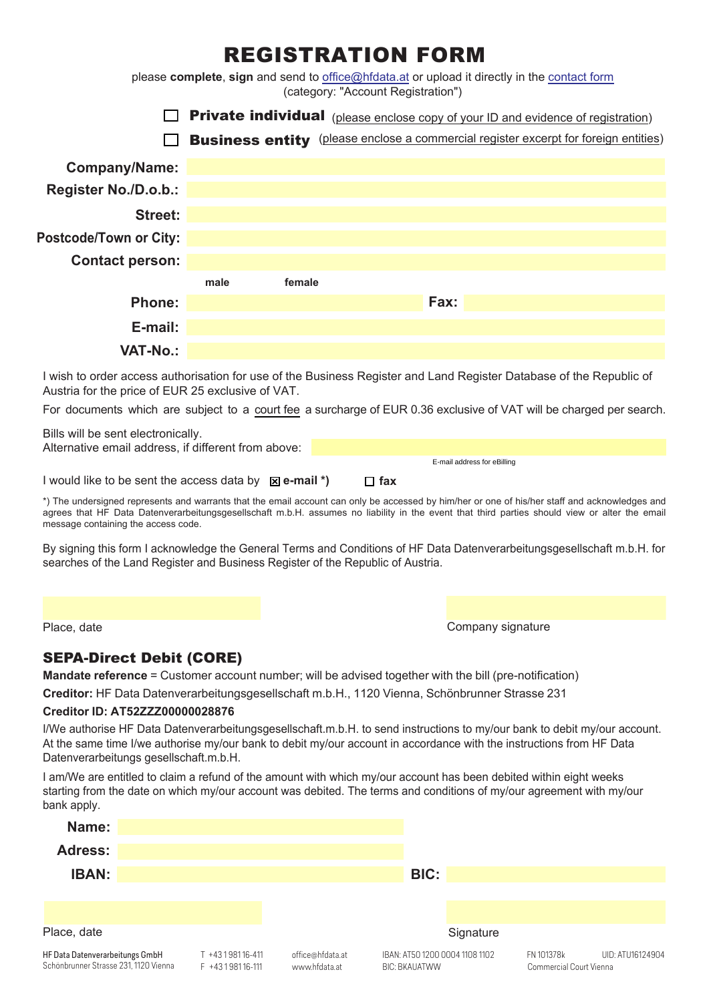# REGISTRATION FORM

please **complete**, **sign** and send to office@hfdata.at or upload it directly in the [contact](https://firmenbuchgrundbuch.at/fbgb/contact) form (category: "Account Registration")



I wish to order access authorisation for use of the Business Register and Land Register Database of the Republic of Austria for the price of EUR 25 exclusive of VAT.

For documents which are subject to a [court fee](https://firmenbuchgrundbuch.at/fbgb/prices) a surcharge of EUR 0.36 exclusive of VAT will be charged per search.

| Bills will be sent electronically.                                |            |                             |  |
|-------------------------------------------------------------------|------------|-----------------------------|--|
| Alternative email address, if different from above:               |            |                             |  |
|                                                                   |            | E-mail address for eBilling |  |
| I would like to be sent the access data by $\mathbb{Z}$ e-mail *) | $\Box$ fax |                             |  |

\*) The undersigned represents and warrants that the email account can only be accessed by him/her or one of his/her staff and acknowledges and agrees that HF Data Datenverarbeitungsgesellschaft m.b.H. assumes no liability in the event that third parties should view or alter the email message containing the access code.

By signing this form I acknowledge the General Terms and Conditions of HF Data Datenverarbeitungsgesellschaft m.b.H. for searches of the Land Register and Business Register of the Republic of Austria.

Place, date **Company signature** Company signature

# SEPA-Direct Debit (CORE)

**Mandate reference** = Customer account number; will be advised together with the bill (pre-notification)

**Creditor:** HF Data Datenverarbeitungsgesellschaft m.b.H., 1120 Vienna, Schönbrunner Strasse 231

## **Creditor ID: AT52ZZZ00000028876**

I/We authorise HF Data Datenverarbeitungsgesellschaft.m.b.H. to send instructions to my/our bank to debit my/our account. At the same time I/we authorise my/our bank to debit my/our account in accordance with the instructions from HF Data Datenverarbeitungs gesellschaft.m.b.H.

I am/We are entitled to claim a refund of the amount with which my/our account has been debited within eight weeks starting from the date on which my/our account was debited. The terms and conditions of my/our agreement with my/our bank apply.

| .                                                                        |                                         |                                   |                                                        |           |                                       |                  |
|--------------------------------------------------------------------------|-----------------------------------------|-----------------------------------|--------------------------------------------------------|-----------|---------------------------------------|------------------|
| Name:                                                                    |                                         |                                   |                                                        |           |                                       |                  |
| <b>Adress:</b>                                                           |                                         |                                   |                                                        |           |                                       |                  |
| <b>IBAN:</b>                                                             |                                         |                                   | BIC:                                                   |           |                                       |                  |
|                                                                          |                                         |                                   |                                                        |           |                                       |                  |
|                                                                          |                                         |                                   |                                                        |           |                                       |                  |
| Place, date                                                              |                                         |                                   |                                                        | Signature |                                       |                  |
| HF Data Datenverarbeitungs GmbH<br>Schönbrunner Strasse 231, 1120 Vienna | T +43198116-411<br>$F + 43198116 - 111$ | office@hfdata.at<br>www.hfdata.at | IBAN: AT50 1200 0004 1108 1102<br><b>BIC: BKAUATWW</b> |           | FN 101378k<br>Commercial Court Vienna | UID: ATU16124904 |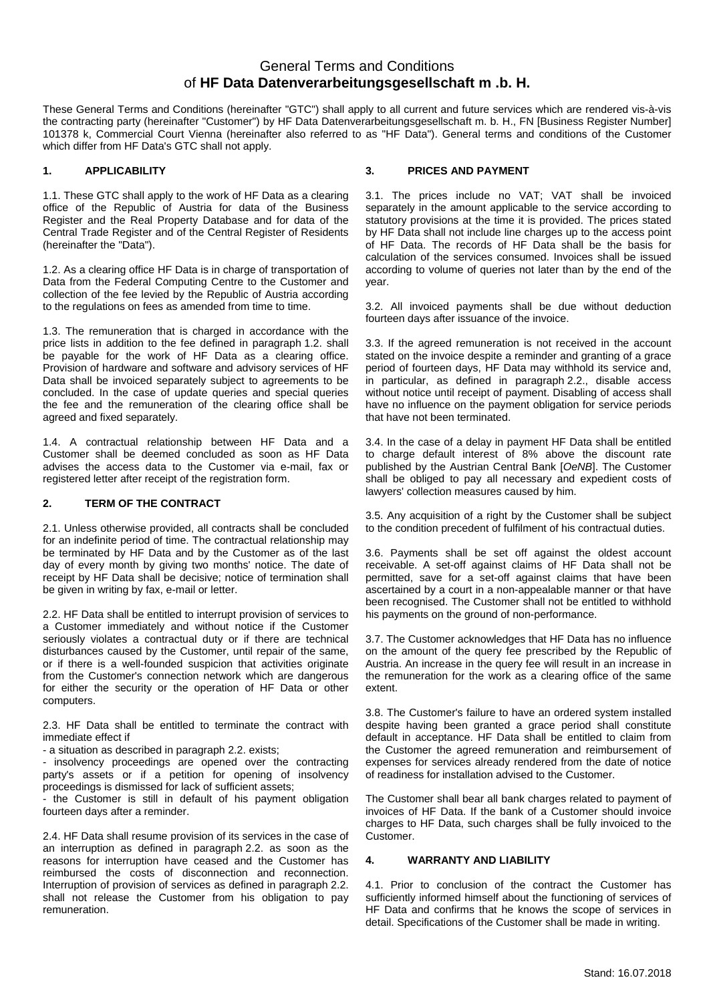# General Terms and Conditions of **HF Data Datenverarbeitungsgesellschaft m .b. H.**

These General Terms and Conditions (hereinafter "GTC") shall apply to all current and future services which are rendered vis-à-vis the contracting party (hereinafter "Customer") by HF Data Datenverarbeitungsgesellschaft m. b. H., FN [Business Register Number] 101378 k, Commercial Court Vienna (hereinafter also referred to as "HF Data"). General terms and conditions of the Customer which differ from HF Data's GTC shall not apply.

#### **1. APPLICABILITY**

1.1. These GTC shall apply to the work of HF Data as a clearing office of the Republic of Austria for data of the Business Register and the Real Property Database and for data of the Central Trade Register and of the Central Register of Residents (hereinafter the "Data").

1.2. As a clearing office HF Data is in charge of transportation of Data from the Federal Computing Centre to the Customer and collection of the fee levied by the Republic of Austria according to the regulations on fees as amended from time to time.

1.3. The remuneration that is charged in accordance with the price lists in addition to the fee defined in paragraph 1.2. shall be payable for the work of HF Data as a clearing office. Provision of hardware and software and advisory services of HF Data shall be invoiced separately subject to agreements to be concluded. In the case of update queries and special queries the fee and the remuneration of the clearing office shall be agreed and fixed separately.

1.4. A contractual relationship between HF Data and a Customer shall be deemed concluded as soon as HF Data advises the access data to the Customer via e-mail, fax or registered letter after receipt of the registration form.

#### **2. TERM OF THE CONTRACT**

2.1. Unless otherwise provided, all contracts shall be concluded for an indefinite period of time. The contractual relationship may be terminated by HF Data and by the Customer as of the last day of every month by giving two months' notice. The date of receipt by HF Data shall be decisive; notice of termination shall be given in writing by fax, e-mail or letter.

2.2. HF Data shall be entitled to interrupt provision of services to a Customer immediately and without notice if the Customer seriously violates a contractual duty or if there are technical disturbances caused by the Customer, until repair of the same, or if there is a well-founded suspicion that activities originate from the Customer's connection network which are dangerous for either the security or the operation of HF Data or other computers.

2.3. HF Data shall be entitled to terminate the contract with immediate effect if

- a situation as described in paragraph 2.2. exists;

- insolvency proceedings are opened over the contracting party's assets or if a petition for opening of insolvency proceedings is dismissed for lack of sufficient assets;

- the Customer is still in default of his payment obligation fourteen days after a reminder.

2.4. HF Data shall resume provision of its services in the case of an interruption as defined in paragraph 2.2. as soon as the reasons for interruption have ceased and the Customer has reimbursed the costs of disconnection and reconnection. Interruption of provision of services as defined in paragraph 2.2. shall not release the Customer from his obligation to pay remuneration.

#### **3. PRICES AND PAYMENT**

3.1. The prices include no VAT; VAT shall be invoiced separately in the amount applicable to the service according to statutory provisions at the time it is provided. The prices stated by HF Data shall not include line charges up to the access point of HF Data. The records of HF Data shall be the basis for calculation of the services consumed. Invoices shall be issued according to volume of queries not later than by the end of the year.

3.2. All invoiced payments shall be due without deduction fourteen days after issuance of the invoice.

3.3. If the agreed remuneration is not received in the account stated on the invoice despite a reminder and granting of a grace period of fourteen days, HF Data may withhold its service and, in particular, as defined in paragraph 2.2., disable access without notice until receipt of payment. Disabling of access shall have no influence on the payment obligation for service periods that have not been terminated.

3.4. In the case of a delay in payment HF Data shall be entitled to charge default interest of 8% above the discount rate published by the Austrian Central Bank [*OeNB*]. The Customer shall be obliged to pay all necessary and expedient costs of lawyers' collection measures caused by him.

3.5. Any acquisition of a right by the Customer shall be subject to the condition precedent of fulfilment of his contractual duties.

3.6. Payments shall be set off against the oldest account receivable. A set-off against claims of HF Data shall not be permitted, save for a set-off against claims that have been ascertained by a court in a non-appealable manner or that have been recognised. The Customer shall not be entitled to withhold his payments on the ground of non-performance.

3.7. The Customer acknowledges that HF Data has no influence on the amount of the query fee prescribed by the Republic of Austria. An increase in the query fee will result in an increase in the remuneration for the work as a clearing office of the same extent.

3.8. The Customer's failure to have an ordered system installed despite having been granted a grace period shall constitute default in acceptance. HF Data shall be entitled to claim from the Customer the agreed remuneration and reimbursement of expenses for services already rendered from the date of notice of readiness for installation advised to the Customer.

The Customer shall bear all bank charges related to payment of invoices of HF Data. If the bank of a Customer should invoice charges to HF Data, such charges shall be fully invoiced to the Customer.

#### **4. WARRANTY AND LIABILITY**

4.1. Prior to conclusion of the contract the Customer has sufficiently informed himself about the functioning of services of HF Data and confirms that he knows the scope of services in detail. Specifications of the Customer shall be made in writing.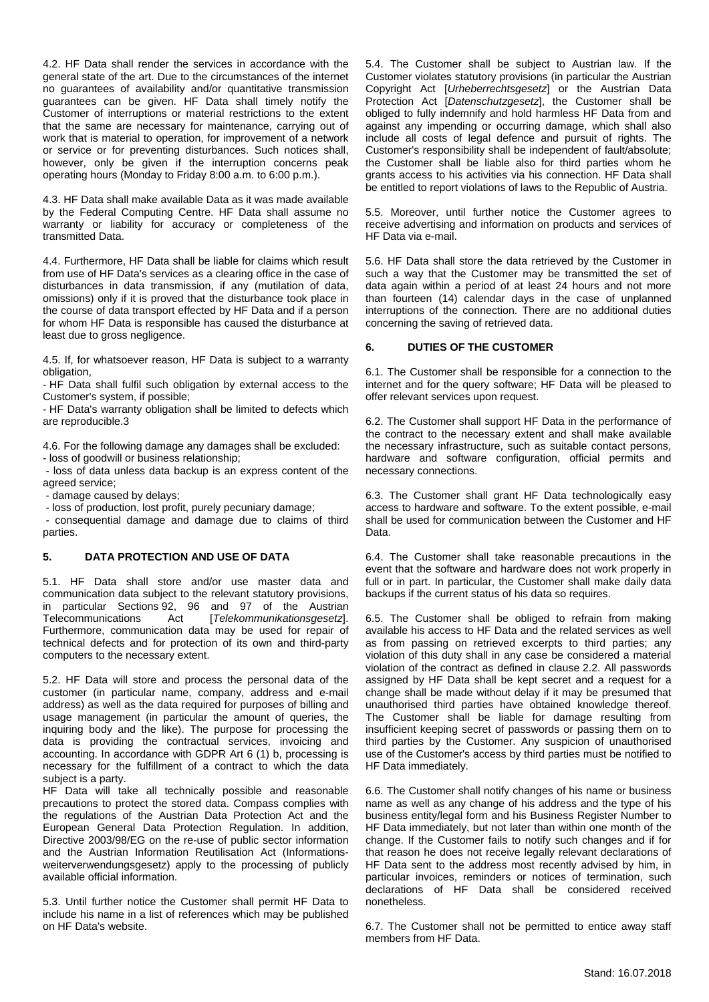4.2. HF Data shall render the services in accordance with the general state of the art. Due to the circumstances of the internet no guarantees of availability and/or quantitative transmission guarantees can be given. HF Data shall timely notify the Customer of interruptions or material restrictions to the extent that the same are necessary for maintenance, carrying out of work that is material to operation, for improvement of a network or service or for preventing disturbances. Such notices shall, however, only be given if the interruption concerns peak operating hours (Monday to Friday 8:00 a.m. to 6:00 p.m.).

4.3. HF Data shall make available Data as it was made available by the Federal Computing Centre. HF Data shall assume no warranty or liability for accuracy or completeness of the transmitted Data.

4.4. Furthermore, HF Data shall be liable for claims which result from use of HF Data's services as a clearing office in the case of disturbances in data transmission, if any (mutilation of data, omissions) only if it is proved that the disturbance took place in the course of data transport effected by HF Data and if a person for whom HF Data is responsible has caused the disturbance at least due to gross negligence.

4.5. If, for whatsoever reason, HF Data is subject to a warranty obligation,

- HF Data shall fulfil such obligation by external access to the Customer's system, if possible;

- HF Data's warranty obligation shall be limited to defects which are reproducible.3

4.6. For the following damage any damages shall be excluded: - loss of goodwill or business relationship;

 - loss of data unless data backup is an express content of the agreed service;

- damage caused by delays;

- loss of production, lost profit, purely pecuniary damage;

 - consequential damage and damage due to claims of third parties.

#### **5. DATA PROTECTION AND USE OF DATA**

5.1. HF Data shall store and/or use master data and communication data subject to the relevant statutory provisions, in particular Sections 92, 96 and 97 of the Austrian<br>Telecommunications Act [Telekommunikationsgesetz]. Telecommunications Act [*Telekommunikationsgesetz*]. Furthermore, communication data may be used for repair of technical defects and for protection of its own and third-party computers to the necessary extent.

5.2. HF Data will store and process the personal data of the customer (in particular name, company, address and e-mail address) as well as the data required for purposes of billing and usage management (in particular the amount of queries, the inquiring body and the like). The purpose for processing the data is providing the contractual services, invoicing and accounting. In accordance with GDPR Art 6 (1) b, processing is necessary for the fulfillment of a contract to which the data subject is a party.

HF Data will take all technically possible and reasonable precautions to protect the stored data. Compass complies with the regulations of the Austrian Data Protection Act and the European General Data Protection Regulation. In addition, Directive 2003/98/EG on the re-use of public sector information and the Austrian Information Reutilisation Act (Informationsweiterverwendungsgesetz) apply to the processing of publicly available official information.

5.3. Until further notice the Customer shall permit HF Data to include his name in a list of references which may be published on HF Data's website.

5.4. The Customer shall be subject to Austrian law. If the Customer violates statutory provisions (in particular the Austrian Copyright Act [*Urheberrechtsgesetz*] or the Austrian Data Protection Act [*Datenschutzgesetz*], the Customer shall be obliged to fully indemnify and hold harmless HF Data from and against any impending or occurring damage, which shall also include all costs of legal defence and pursuit of rights. The Customer's responsibility shall be independent of fault/absolute; the Customer shall be liable also for third parties whom he grants access to his activities via his connection. HF Data shall be entitled to report violations of laws to the Republic of Austria.

5.5. Moreover, until further notice the Customer agrees to receive advertising and information on products and services of HF Data via e-mail.

5.6. HF Data shall store the data retrieved by the Customer in such a way that the Customer may be transmitted the set of data again within a period of at least 24 hours and not more than fourteen (14) calendar days in the case of unplanned interruptions of the connection. There are no additional duties concerning the saving of retrieved data.

#### **6. DUTIES OF THE CUSTOMER**

6.1. The Customer shall be responsible for a connection to the internet and for the query software; HF Data will be pleased to offer relevant services upon request.

6.2. The Customer shall support HF Data in the performance of the contract to the necessary extent and shall make available the necessary infrastructure, such as suitable contact persons, hardware and software configuration, official permits and necessary connections.

6.3. The Customer shall grant HF Data technologically easy access to hardware and software. To the extent possible, e-mail shall be used for communication between the Customer and HF Data.

6.4. The Customer shall take reasonable precautions in the event that the software and hardware does not work properly in full or in part. In particular, the Customer shall make daily data backups if the current status of his data so requires.

6.5. The Customer shall be obliged to refrain from making available his access to HF Data and the related services as well as from passing on retrieved excerpts to third parties; any violation of this duty shall in any case be considered a material violation of the contract as defined in clause 2.2. All passwords assigned by HF Data shall be kept secret and a request for a change shall be made without delay if it may be presumed that unauthorised third parties have obtained knowledge thereof. The Customer shall be liable for damage resulting from insufficient keeping secret of passwords or passing them on to third parties by the Customer. Any suspicion of unauthorised use of the Customer's access by third parties must be notified to HF Data immediately.

6.6. The Customer shall notify changes of his name or business name as well as any change of his address and the type of his business entity/legal form and his Business Register Number to HF Data immediately, but not later than within one month of the change. If the Customer fails to notify such changes and if for that reason he does not receive legally relevant declarations of HF Data sent to the address most recently advised by him, in particular invoices, reminders or notices of termination, such declarations of HF Data shall be considered received nonetheless.

6.7. The Customer shall not be permitted to entice away staff members from HF Data.